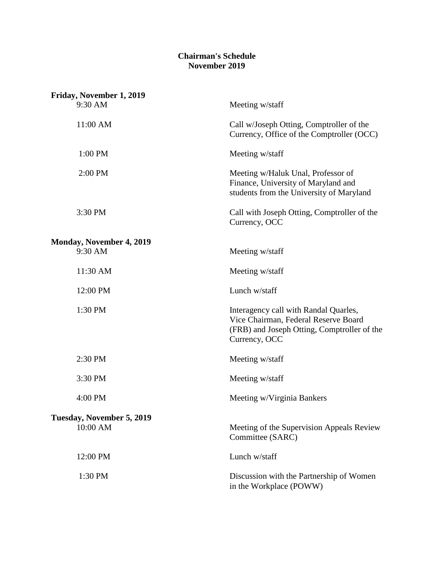### **Chairman's Schedule November 2019**

| Friday, November 1, 2019        |                                                                                                                                               |
|---------------------------------|-----------------------------------------------------------------------------------------------------------------------------------------------|
| 9:30 AM                         | Meeting w/staff                                                                                                                               |
| 11:00 AM                        | Call w/Joseph Otting, Comptroller of the<br>Currency, Office of the Comptroller (OCC)                                                         |
| 1:00 PM                         | Meeting w/staff                                                                                                                               |
| 2:00 PM                         | Meeting w/Haluk Unal, Professor of<br>Finance, University of Maryland and<br>students from the University of Maryland                         |
| 3:30 PM                         | Call with Joseph Otting, Comptroller of the<br>Currency, OCC                                                                                  |
| <b>Monday, November 4, 2019</b> |                                                                                                                                               |
| 9:30 AM                         | Meeting w/staff                                                                                                                               |
| 11:30 AM                        | Meeting w/staff                                                                                                                               |
| 12:00 PM                        | Lunch w/staff                                                                                                                                 |
| 1:30 PM                         | Interagency call with Randal Quarles,<br>Vice Chairman, Federal Reserve Board<br>(FRB) and Joseph Otting, Comptroller of the<br>Currency, OCC |
| 2:30 PM                         | Meeting w/staff                                                                                                                               |
| 3:30 PM                         | Meeting w/staff                                                                                                                               |
| 4:00 PM                         | Meeting w/Virginia Bankers                                                                                                                    |
| Tuesday, November 5, 2019       |                                                                                                                                               |
| 10:00 AM                        | Meeting of the Supervision Appeals Review<br>Committee (SARC)                                                                                 |
| 12:00 PM                        | Lunch w/staff                                                                                                                                 |
| 1:30 PM                         | Discussion with the Partnership of Women<br>in the Workplace (POWW)                                                                           |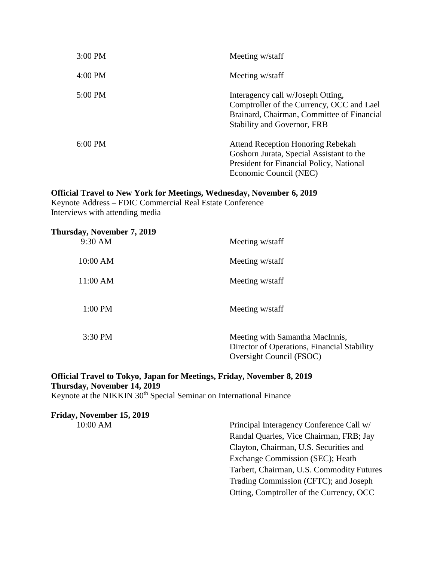| $3:00 \text{ PM}$ | Meeting w/staff                                                                                                                                                    |
|-------------------|--------------------------------------------------------------------------------------------------------------------------------------------------------------------|
| $4:00 \text{ PM}$ | Meeting w/staff                                                                                                                                                    |
| $5:00 \text{ PM}$ | Interagency call w/Joseph Otting,<br>Comptroller of the Currency, OCC and Lael<br>Brainard, Chairman, Committee of Financial<br><b>Stability and Governor, FRB</b> |
| $6:00 \text{ PM}$ | <b>Attend Reception Honoring Rebekah</b><br>Goshorn Jurata, Special Assistant to the<br>President for Financial Policy, National<br>Economic Council (NEC)         |

#### **Official Travel to New York for Meetings, Wednesday, November 6, 2019**

Keynote Address – FDIC Commercial Real Estate Conference Interviews with attending media

| Thursday, November 7, 2019<br>9:30 AM | Meeting w/staff                                                                                            |
|---------------------------------------|------------------------------------------------------------------------------------------------------------|
| 10:00 AM                              | Meeting w/staff                                                                                            |
| $11:00$ AM                            | Meeting w/staff                                                                                            |
| 1:00 PM                               | Meeting w/staff                                                                                            |
| 3:30 PM                               | Meeting with Samantha MacInnis,<br>Director of Operations, Financial Stability<br>Oversight Council (FSOC) |

## **Official Travel to Tokyo, Japan for Meetings, Friday, November 8, 2019 Thursday, November 14, 2019**

Keynote at the NIKKIN 30<sup>th</sup> Special Seminar on International Finance

# **Friday, November 15, 2019**

10:00 AM Principal Interagency Conference Call w/ Randal Quarles, Vice Chairman, FRB; Jay Clayton, Chairman, U.S. Securities and Exchange Commission (SEC); Heath Tarbert, Chairman, U.S. Commodity Futures Trading Commission (CFTC); and Joseph Otting, Comptroller of the Currency, OCC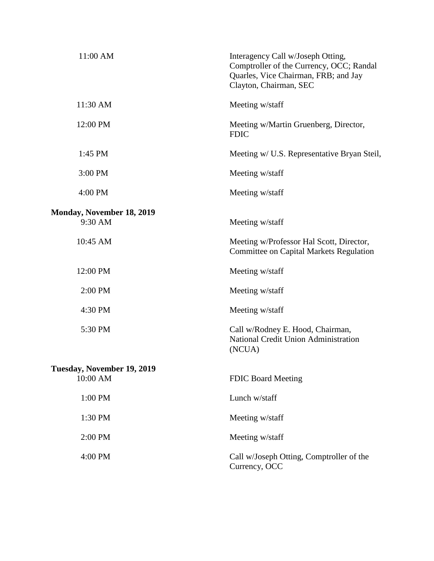| 11:00 AM                                    | Interagency Call w/Joseph Otting,<br>Comptroller of the Currency, OCC; Randal<br>Quarles, Vice Chairman, FRB; and Jay<br>Clayton, Chairman, SEC |
|---------------------------------------------|-------------------------------------------------------------------------------------------------------------------------------------------------|
| 11:30 AM                                    | Meeting w/staff                                                                                                                                 |
| 12:00 PM                                    | Meeting w/Martin Gruenberg, Director,<br><b>FDIC</b>                                                                                            |
| 1:45 PM                                     | Meeting w/ U.S. Representative Bryan Steil,                                                                                                     |
| 3:00 PM                                     | Meeting w/staff                                                                                                                                 |
| 4:00 PM                                     | Meeting w/staff                                                                                                                                 |
| <b>Monday, November 18, 2019</b><br>9:30 AM | Meeting w/staff                                                                                                                                 |
| 10:45 AM                                    | Meeting w/Professor Hal Scott, Director,<br><b>Committee on Capital Markets Regulation</b>                                                      |
| 12:00 PM                                    | Meeting w/staff                                                                                                                                 |
| 2:00 PM                                     | Meeting w/staff                                                                                                                                 |
| 4:30 PM                                     | Meeting w/staff                                                                                                                                 |
| 5:30 PM                                     | Call w/Rodney E. Hood, Chairman,<br>National Credit Union Administration<br>(NCUA)                                                              |
| Tuesday, November 19, 2019                  |                                                                                                                                                 |
| 10:00 AM                                    | <b>FDIC Board Meeting</b>                                                                                                                       |
| 1:00 PM                                     | Lunch w/staff                                                                                                                                   |
| 1:30 PM                                     | Meeting w/staff                                                                                                                                 |
| 2:00 PM                                     | Meeting w/staff                                                                                                                                 |
| 4:00 PM                                     | Call w/Joseph Otting, Comptroller of the<br>Currency, OCC                                                                                       |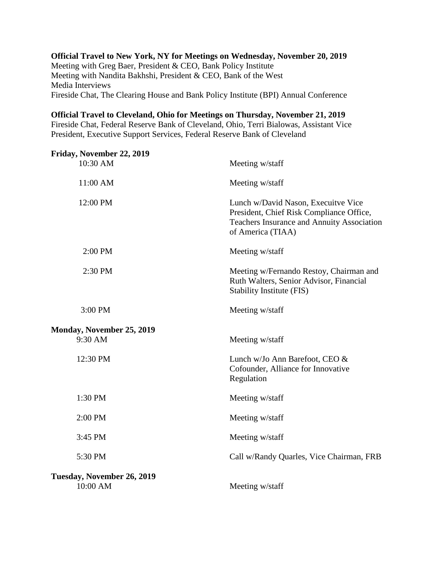### **Official Travel to New York, NY for Meetings on Wednesday, November 20, 2019** Meeting with Greg Baer, President & CEO, Bank Policy Institute Meeting with Nandita Bakhshi, President & CEO, Bank of the West Media Interviews Fireside Chat, The Clearing House and Bank Policy Institute (BPI) Annual Conference

### **Official Travel to Cleveland, Ohio for Meetings on Thursday, November 21, 2019**

Fireside Chat, Federal Reserve Bank of Cleveland, Ohio, Terri Bialowas, Assistant Vice President, Executive Support Services, Federal Reserve Bank of Cleveland

| Friday, November 22, 2019  |                                                                                                                                                    |
|----------------------------|----------------------------------------------------------------------------------------------------------------------------------------------------|
| 10:30 AM                   | Meeting w/staff                                                                                                                                    |
| 11:00 AM                   | Meeting w/staff                                                                                                                                    |
| 12:00 PM                   | Lunch w/David Nason, Execuitve Vice<br>President, Chief Risk Compliance Office,<br>Teachers Insurance and Annuity Association<br>of America (TIAA) |
| 2:00 PM                    | Meeting w/staff                                                                                                                                    |
| 2:30 PM                    | Meeting w/Fernando Restoy, Chairman and<br>Ruth Walters, Senior Advisor, Financial<br>Stability Institute (FIS)                                    |
| 3:00 PM                    | Meeting w/staff                                                                                                                                    |
| Monday, November 25, 2019  |                                                                                                                                                    |
| 9:30 AM                    | Meeting w/staff                                                                                                                                    |
| 12:30 PM                   | Lunch w/Jo Ann Barefoot, CEO &<br>Cofounder, Alliance for Innovative<br>Regulation                                                                 |
| 1:30 PM                    | Meeting w/staff                                                                                                                                    |
| 2:00 PM                    | Meeting w/staff                                                                                                                                    |
| 3:45 PM                    | Meeting w/staff                                                                                                                                    |
| 5:30 PM                    | Call w/Randy Quarles, Vice Chairman, FRB                                                                                                           |
| Tuesday, November 26, 2019 |                                                                                                                                                    |
| 10:00 AM                   | Meeting w/staff                                                                                                                                    |